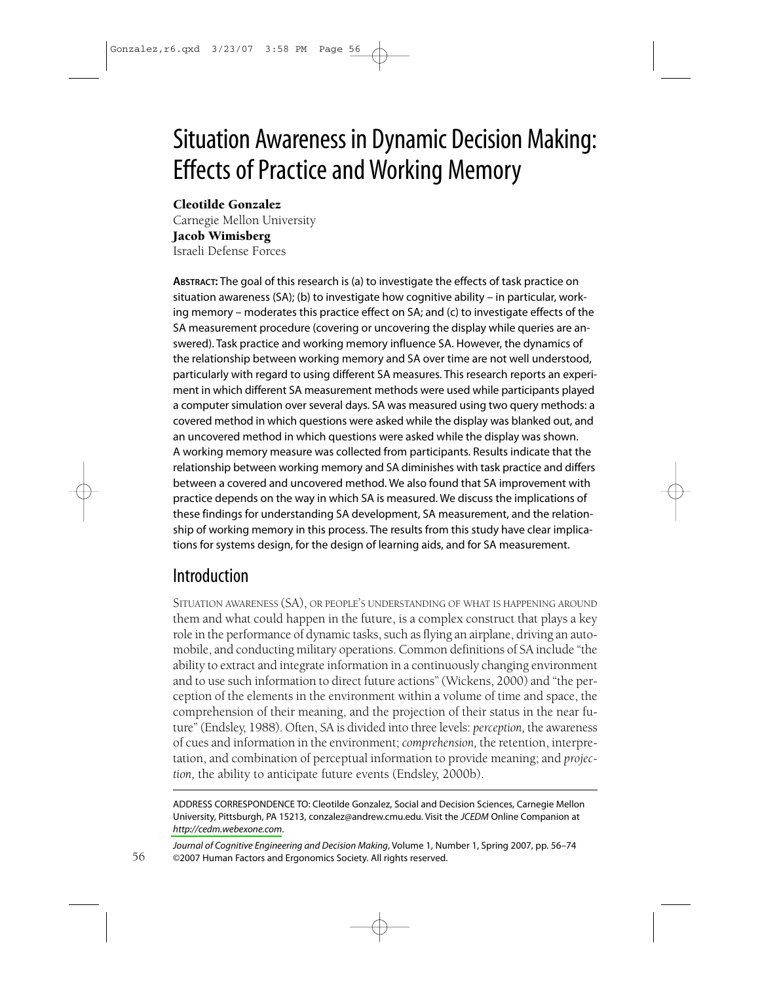# **Situation Awareness in Dynamic Decision Making: Effects of Practice and Working Memory**

### **Cleotilde Gonzalez**

Carnegie Mellon University **Jacob Wimisberg** Israeli Defense Forces

ABSTRACT: The goal of this research is (a) to investigate the effects of task practice on situation awareness (SA); (b) to investigate how cognitive ability - in particular, working memory - moderates this practice effect on SA; and (c) to investigate effects of the SA measurement procedure (covering or uncovering the display while queries are answered). Task practice and working memory influence SA. However, the dynamics of the relationship between working memory and SA over time are not well understood, particularly with regard to using different SA measures. This research reports an experiment in which different SA measurement methods were used while participants played a computer simulation over several days. SA was measured using two query methods: a covered method in which questions were asked while the display was blanked out, and an uncovered method in which questions were asked while the display was shown. A working memory measure was collected from participants. Results indicate that the relationship between working memory and SA diminishes with task practice and differs between a covered and uncovered method. We also found that SA improvement with practice depends on the way in which SA is measured. We discuss the implications of these findings for understanding SA development, SA measurement, and the relationship of working memory in this process. The results from this study have clear implications for systems design, for the design of learning aids, and for SA measurement.

# Introduction

SITUATION AWARENESS (SA), OR PEOPLE'S UNDERSTANDING OF WHAT IS HAPPENING AROUND them and what could happen in the future, is a complex construct that plays a key role in the performance of dynamic tasks, such as flying an airplane, driving an automobile, and conducting military operations. Common definitions of SA include "the ability to extract and integrate information in a continuously changing environment and to use such information to direct future actions" (Wickens, 2000) and "the perception of the elements in the environment within a volume of time and space, the comprehension of their meaning, and the projection of their status in the near future" (Endsley, 1988). Often, SA is divided into three levels: perception, the awareness of cues and information in the environment; comprehension, the retention, interpretation, and combination of perceptual information to provide meaning; and projection, the ability to anticipate future events (Endsley, 2000b).

ADDRESS CORRESPONDENCE TO: Cleotilde Gonzalez, Social and Decision Sciences, Carnegie Mellon University, Pittsburgh, PA 15213, conzalez@andrew.cmu.edu. Visit the JCEDM Online Companion at http://cedm.webexone.com.

Journal of Cognitive Engineering and Decision Making, Volume 1, Number 1, Spring 2007, pp. 56-74 ©2007 Human Factors and Ergonomics Society. All rights reserved.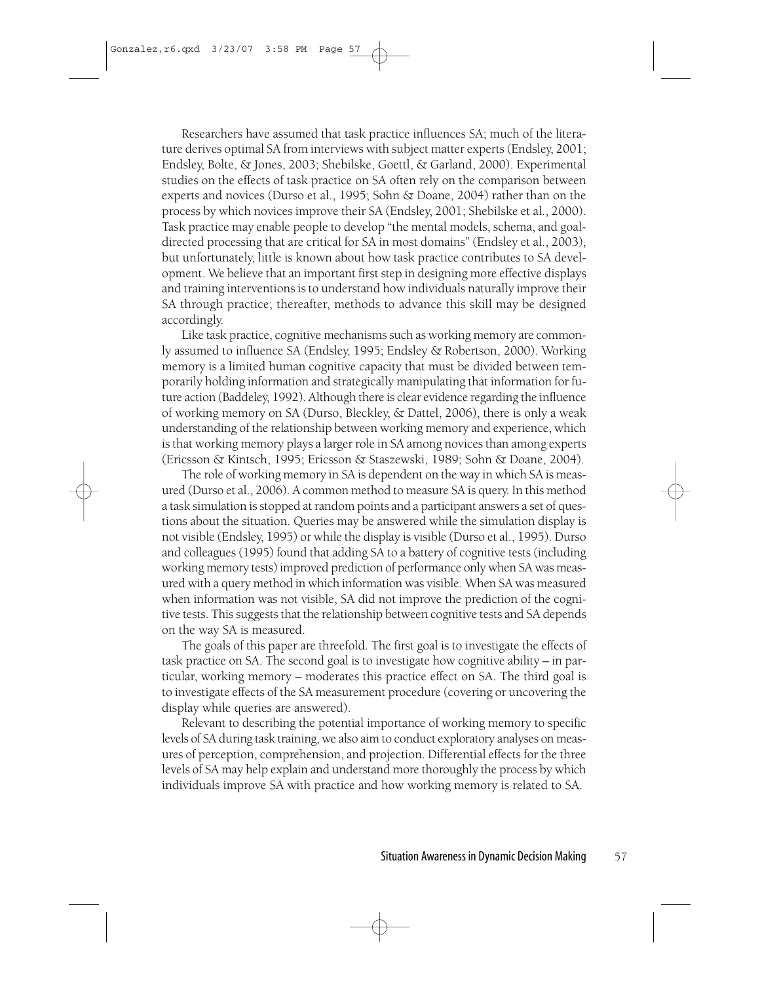Researchers have assumed that task practice influences SA; much of the literature derives optimal SA from interviews with subject matter experts (Endsley, 2001; Endsley, Bolte, & Jones, 2003; Shebilske, Goettl, & Garland, 2000). Experimental studies on the effects of task practice on SA often rely on the comparison between experts and novices (Durso et al., 1995; Sohn & Doane, 2004) rather than on the process by which novices improve their SA (Endsley, 2001; Shebilske et al., 2000). Task practice may enable people to develop "the mental models, schema, and goaldirected processing that are critical for SA in most domains" (Endsley et al., 2003), but unfortunately, little is known about how task practice contributes to SA development. We believe that an important first step in designing more effective displays and training interventions is to understand how individuals naturally improve their SA through practice; thereafter, methods to advance this skill may be designed accordingly.

Like task practice, cognitive mechanisms such as working memory are commonly assumed to influence SA (Endsley, 1995; Endsley & Robertson, 2000). Working memory is a limited human cognitive capacity that must be divided between temporarily holding information and strategically manipulating that information for future action (Baddeley, 1992). Although there is clear evidence regarding the influence of working memory on SA (Durso, Bleckley, & Dattel, 2006), there is only a weak understanding of the relationship between working memory and experience, which is that working memory plays a larger role in SA among novices than among experts (Ericsson & Kintsch, 1995; Ericsson & Staszewski, 1989; Sohn & Doane, 2004).

The role of working memory in SA is dependent on the way in which SA is measured (Durso et al., 2006). A common method to measure SA is query. In this method a task simulation is stopped at random points and a participant answers a set of questions about the situation. Queries may be answered while the simulation display is not visible (Endsley, 1995) or while the display is visible (Durso et al., 1995). Durso and colleagues (1995) found that adding SA to a battery of cognitive tests (including working memory tests) improved prediction of performance only when SA was measured with a query method in which information was visible. When SA was measured when information was not visible, SA did not improve the prediction of the cognitive tests. This suggests that the relationship between cognitive tests and SA depends on the way SA is measured.

The goals of this paper are threefold. The first goal is to investigate the effects of task practice on SA. The second goal is to investigate how cognitive ability - in particular, working memory – moderates this practice effect on SA. The third goal is to investigate effects of the SA measurement procedure (covering or uncovering the display while queries are answered).

Relevant to describing the potential importance of working memory to specific levels of SA during task training, we also aim to conduct exploratory analyses on measures of perception, comprehension, and projection. Differential effects for the three levels of SA may help explain and understand more thoroughly the process by which individuals improve SA with practice and how working memory is related to SA.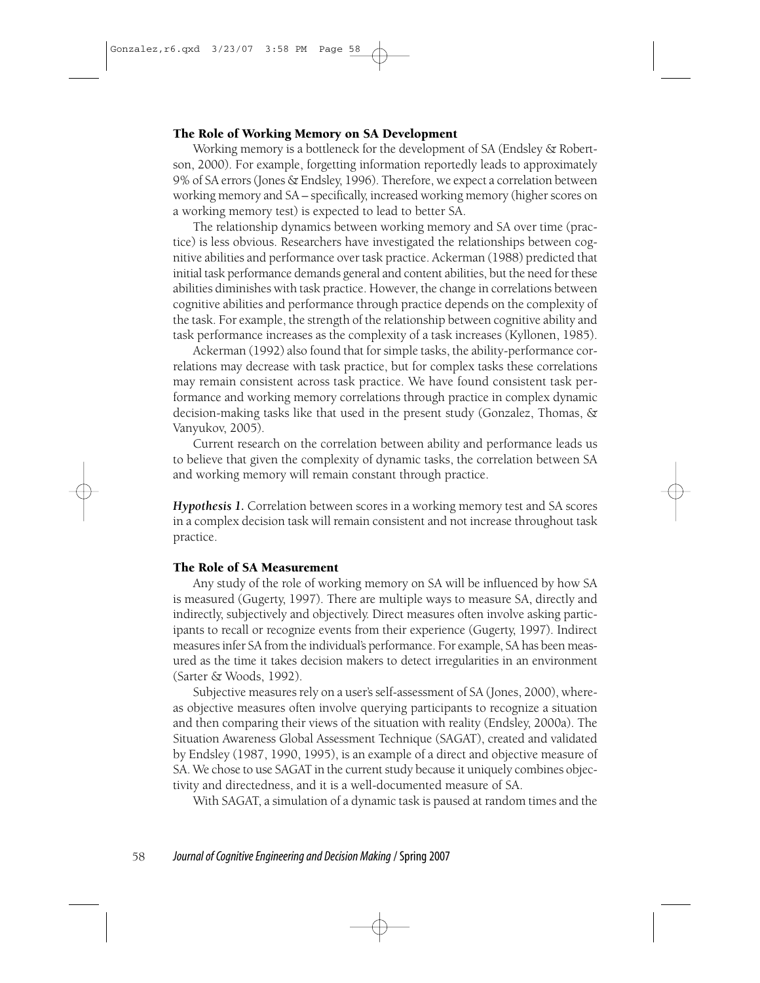#### The Role of Working Memory on SA Development

Working memory is a bottleneck for the development of SA (Endsley & Robertson, 2000). For example, forgetting information reportedly leads to approximately 9% of SA errors (Jones & Endsley, 1996). Therefore, we expect a correlation between working memory and SA - specifically, increased working memory (higher scores on a working memory test) is expected to lead to better SA.

The relationship dynamics between working memory and SA over time (practice) is less obvious. Researchers have investigated the relationships between cognitive abilities and performance over task practice. Ackerman (1988) predicted that initial task performance demands general and content abilities, but the need for these abilities diminishes with task practice. However, the change in correlations between cognitive abilities and performance through practice depends on the complexity of the task. For example, the strength of the relationship between cognitive ability and task performance increases as the complexity of a task increases (Kyllonen, 1985).

Ackerman (1992) also found that for simple tasks, the ability-performance correlations may decrease with task practice, but for complex tasks these correlations may remain consistent across task practice. We have found consistent task performance and working memory correlations through practice in complex dynamic decision-making tasks like that used in the present study (Gonzalez, Thomas, & Vanyukov, 2005).

Current research on the correlation between ability and performance leads us to believe that given the complexity of dynamic tasks, the correlation between SA and working memory will remain constant through practice.

Hypothesis 1. Correlation between scores in a working memory test and SA scores in a complex decision task will remain consistent and not increase throughout task practice.

#### The Role of SA Measurement

Any study of the role of working memory on SA will be influenced by how SA is measured (Gugerty, 1997). There are multiple ways to measure SA, directly and indirectly, subjectively and objectively. Direct measures often involve asking participants to recall or recognize events from their experience (Gugerty, 1997). Indirect measures infer SA from the individual's performance. For example, SA has been measured as the time it takes decision makers to detect irregularities in an environment (Sarter & Woods, 1992).

Subjective measures rely on a user's self-assessment of SA (Jones, 2000), whereas objective measures often involve querying participants to recognize a situation and then comparing their views of the situation with reality (Endsley, 2000a). The Situation Awareness Global Assessment Technique (SAGAT), created and validated by Endsley (1987, 1990, 1995), is an example of a direct and objective measure of SA. We chose to use SAGAT in the current study because it uniquely combines objectivity and directedness, and it is a well-documented measure of SA.

With SAGAT, a simulation of a dynamic task is paused at random times and the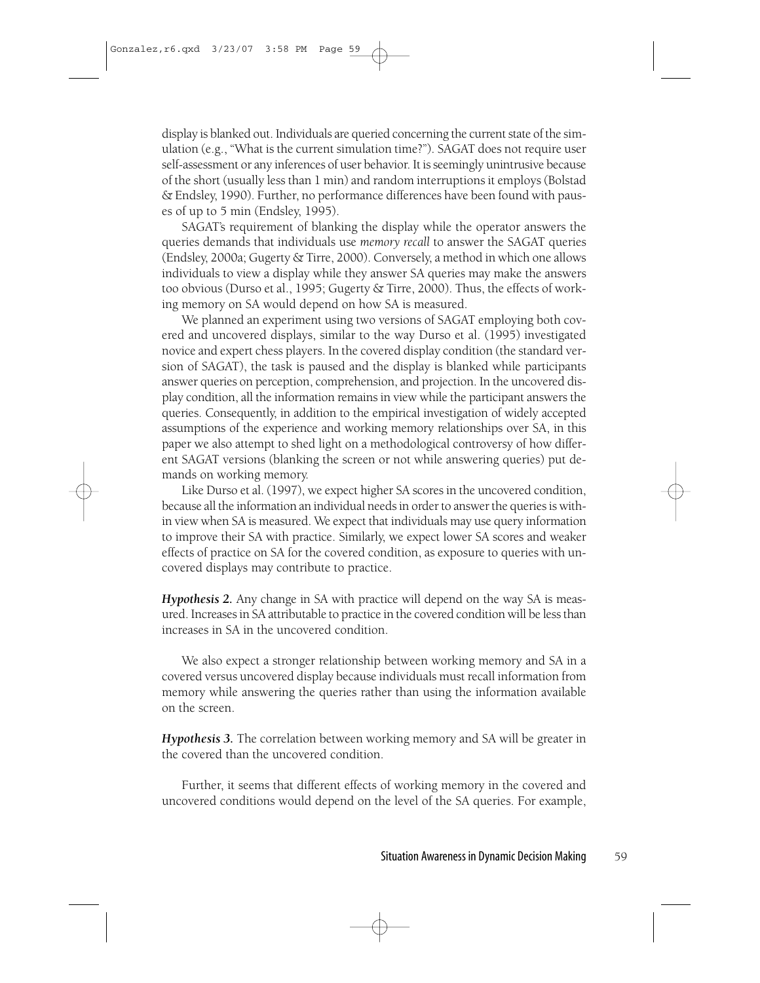display is blanked out. Individuals are queried concerning the current state of the simulation (e.g., "What is the current simulation time?"). SAGAT does not require user self-assessment or any inferences of user behavior. It is seemingly unintrusive because of the short (usually less than 1 min) and random interruptions it employs (Bolstad & Endsley, 1990). Further, no performance differences have been found with pauses of up to 5 min (Endsley, 1995).

SAGAT's requirement of blanking the display while the operator answers the queries demands that individuals use memory recall to answer the SAGAT queries (Endsley, 2000a; Gugerty & Tirre, 2000). Conversely, a method in which one allows individuals to view a display while they answer SA queries may make the answers too obvious (Durso et al., 1995; Gugerty & Tirre, 2000). Thus, the effects of working memory on SA would depend on how SA is measured.

We planned an experiment using two versions of SAGAT employing both covered and uncovered displays, similar to the way Durso et al. (1995) investigated novice and expert chess players. In the covered display condition (the standard version of SAGAT), the task is paused and the display is blanked while participants answer queries on perception, comprehension, and projection. In the uncovered display condition, all the information remains in view while the participant answers the queries. Consequently, in addition to the empirical investigation of widely accepted assumptions of the experience and working memory relationships over SA, in this paper we also attempt to shed light on a methodological controversy of how different SAGAT versions (blanking the screen or not while answering queries) put demands on working memory.

Like Durso et al. (1997), we expect higher SA scores in the uncovered condition, because all the information an individual needs in order to answer the queries is within view when SA is measured. We expect that individuals may use query information to improve their SA with practice. Similarly, we expect lower SA scores and weaker effects of practice on SA for the covered condition, as exposure to queries with uncovered displays may contribute to practice.

Hypothesis 2. Any change in SA with practice will depend on the way SA is measured. Increases in SA attributable to practice in the covered condition will be less than increases in SA in the uncovered condition.

We also expect a stronger relationship between working memory and SA in a covered versus uncovered display because individuals must recall information from memory while answering the queries rather than using the information available on the screen.

**Hypothesis 3.** The correlation between working memory and SA will be greater in the covered than the uncovered condition.

Further, it seems that different effects of working memory in the covered and uncovered conditions would depend on the level of the SA queries. For example,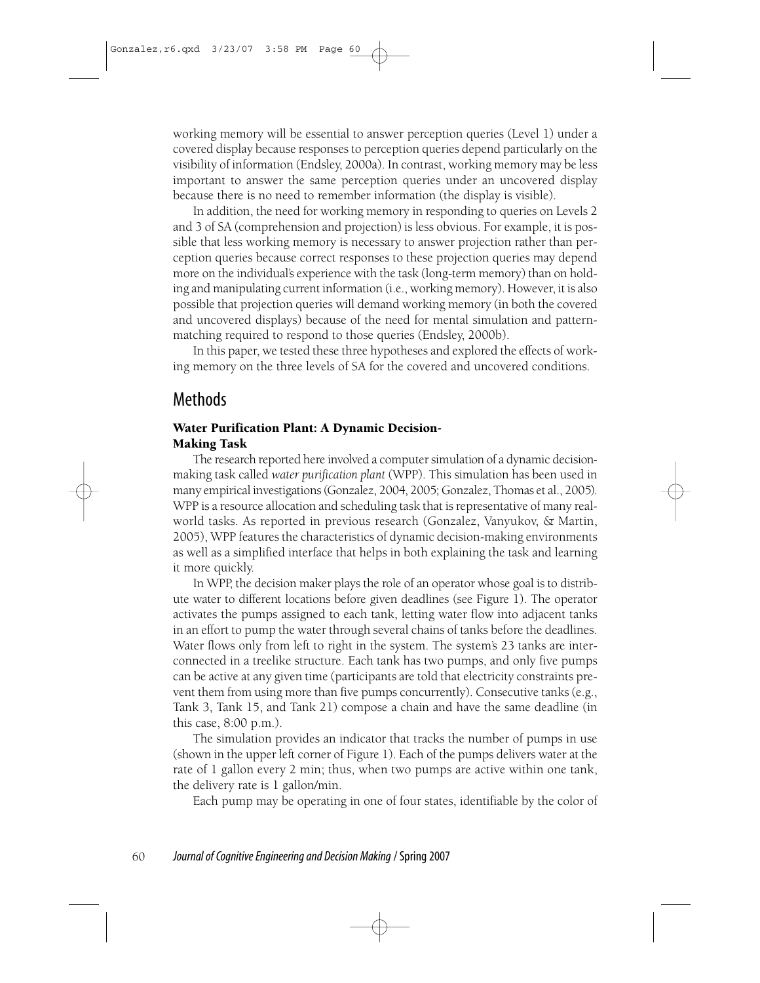working memory will be essential to answer perception queries (Level 1) under a covered display because responses to perception queries depend particularly on the visibility of information (Endsley, 2000a). In contrast, working memory may be less important to answer the same perception queries under an uncovered display because there is no need to remember information (the display is visible).

In addition, the need for working memory in responding to queries on Levels 2 and 3 of SA (comprehension and projection) is less obvious. For example, it is possible that less working memory is necessary to answer projection rather than perception queries because correct responses to these projection queries may depend more on the individual's experience with the task (long-term memory) than on holding and manipulating current information (i.e., working memory). However, it is also possible that projection queries will demand working memory (in both the covered and uncovered displays) because of the need for mental simulation and patternmatching required to respond to those queries (Endsley, 2000b).

In this paper, we tested these three hypotheses and explored the effects of working memory on the three levels of SA for the covered and uncovered conditions.

# **Methods**

#### **Water Purification Plant: A Dynamic Decision-Making Task**

The research reported here involved a computer simulation of a dynamic decisionmaking task called water purification plant (WPP). This simulation has been used in many empirical investigations (Gonzalez, 2004, 2005; Gonzalez, Thomas et al., 2005). WPP is a resource allocation and scheduling task that is representative of many realworld tasks. As reported in previous research (Gonzalez, Vanyukov, & Martin, 2005), WPP features the characteristics of dynamic decision-making environments as well as a simplified interface that helps in both explaining the task and learning it more quickly.

In WPP, the decision maker plays the role of an operator whose goal is to distribute water to different locations before given deadlines (see Figure 1). The operator activates the pumps assigned to each tank, letting water flow into adjacent tanks in an effort to pump the water through several chains of tanks before the deadlines. Water flows only from left to right in the system. The system's 23 tanks are interconnected in a treelike structure. Each tank has two pumps, and only five pumps can be active at any given time (participants are told that electricity constraints prevent them from using more than five pumps concurrently). Consecutive tanks (e.g., Tank 3, Tank 15, and Tank 21) compose a chain and have the same deadline (in this case,  $8:00$  p.m.).

The simulation provides an indicator that tracks the number of pumps in use (shown in the upper left corner of Figure 1). Each of the pumps delivers water at the rate of 1 gallon every 2 min; thus, when two pumps are active within one tank, the delivery rate is 1 gallon/min.

Each pump may be operating in one of four states, identifiable by the color of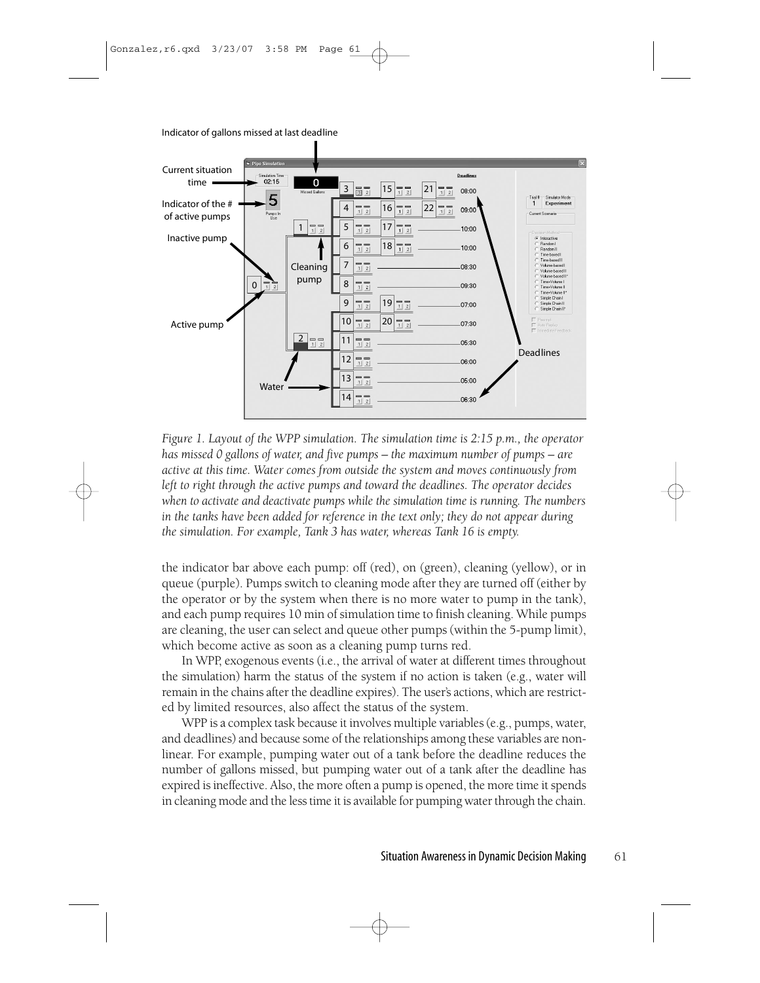Indicator of gallons missed at last deadline



Figure 1. Layout of the WPP simulation. The simulation time is  $2:15$  p.m., the operator has missed 0 gallons of water, and five pumps – the maximum number of pumps – are active at this time. Water comes from outside the system and moves continuously from left to right through the active pumps and toward the deadlines. The operator decides when to activate and deactivate pumps while the simulation time is running. The numbers in the tanks have been added for reference in the text only; they do not appear during the simulation. For example, Tank 3 has water, whereas Tank 16 is empty.

the indicator bar above each pump: off (red), on (green), cleaning (yellow), or in queue (purple). Pumps switch to cleaning mode after they are turned off (either by the operator or by the system when there is no more water to pump in the tank), and each pump requires 10 min of simulation time to finish cleaning. While pumps are cleaning, the user can select and queue other pumps (within the 5-pump limit), which become active as soon as a cleaning pump turns red.

In WPP, exogenous events (i.e., the arrival of water at different times throughout the simulation) harm the status of the system if no action is taken (e.g., water will remain in the chains after the deadline expires). The user's actions, which are restricted by limited resources, also affect the status of the system.

WPP is a complex task because it involves multiple variables (e.g., pumps, water, and deadlines) and because some of the relationships among these variables are nonlinear. For example, pumping water out of a tank before the deadline reduces the number of gallons missed, but pumping water out of a tank after the deadline has expired is ineffective. Also, the more often a pump is opened, the more time it spends in cleaning mode and the less time it is available for pumping water through the chain.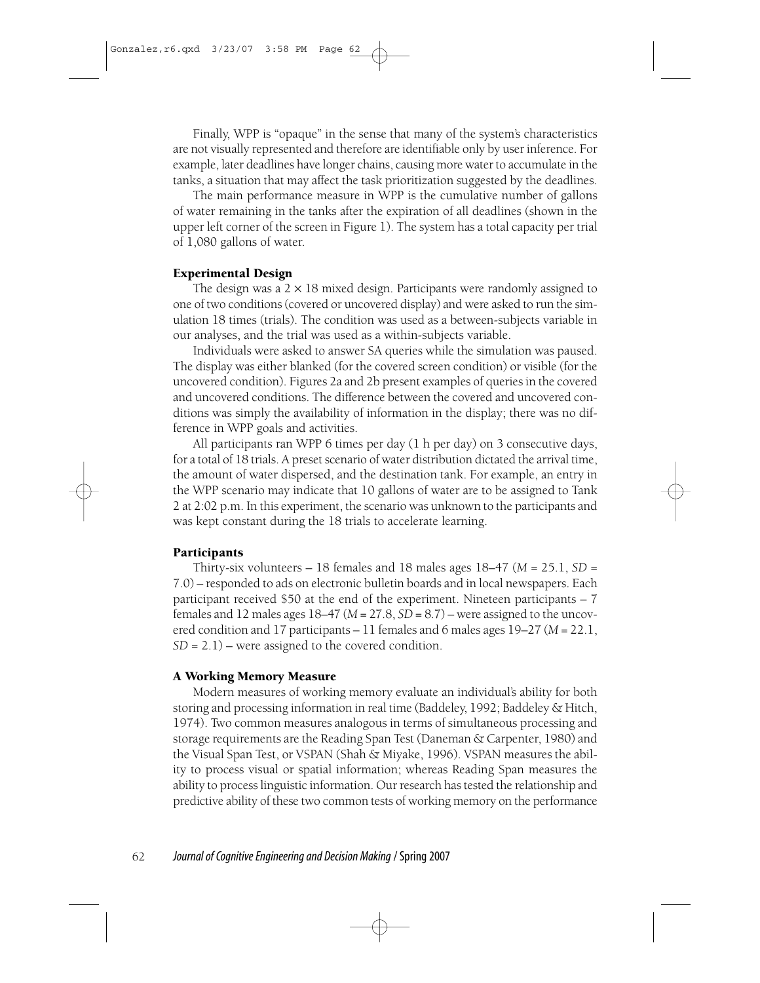Finally, WPP is "opaque" in the sense that many of the system's characteristics are not visually represented and therefore are identifiable only by user inference. For example, later deadlines have longer chains, causing more water to accumulate in the tanks, a situation that may affect the task prioritization suggested by the deadlines.

The main performance measure in WPP is the cumulative number of gallons of water remaining in the tanks after the expiration of all deadlines (shown in the upper left corner of the screen in Figure 1). The system has a total capacity per trial of 1,080 gallons of water.

#### **Experimental Design**

The design was a  $2 \times 18$  mixed design. Participants were randomly assigned to one of two conditions (covered or uncovered display) and were asked to run the simulation 18 times (trials). The condition was used as a between-subjects variable in our analyses, and the trial was used as a within-subjects variable.

Individuals were asked to answer SA queries while the simulation was paused. The display was either blanked (for the covered screen condition) or visible (for the uncovered condition). Figures 2a and 2b present examples of queries in the covered and uncovered conditions. The difference between the covered and uncovered conditions was simply the availability of information in the display; there was no difference in WPP goals and activities.

All participants ran WPP 6 times per day (1 h per day) on 3 consecutive days, for a total of 18 trials. A preset scenario of water distribution dictated the arrival time, the amount of water dispersed, and the destination tank. For example, an entry in the WPP scenario may indicate that 10 gallons of water are to be assigned to Tank 2 at 2:02 p.m. In this experiment, the scenario was unknown to the participants and was kept constant during the 18 trials to accelerate learning.

#### Participants

Thirty-six volunteers – 18 females and 18 males ages 18–47 ( $M = 25.1$ ,  $SD =$ 7.0) – responded to ads on electronic bulletin boards and in local newspapers. Each participant received \$50 at the end of the experiment. Nineteen participants  $-7$ females and 12 males ages 18–47 ( $M = 27.8$ , SD = 8.7) – were assigned to the uncovered condition and 17 participants – 11 females and 6 males ages  $19-27$  ( $M = 22.1$ ,  $SD = 2.1$ ) – were assigned to the covered condition.

#### **A Working Memory Measure**

Modern measures of working memory evaluate an individual's ability for both storing and processing information in real time (Baddeley, 1992; Baddeley & Hitch, 1974). Two common measures analogous in terms of simultaneous processing and storage requirements are the Reading Span Test (Daneman & Carpenter, 1980) and the Visual Span Test, or VSPAN (Shah & Miyake, 1996). VSPAN measures the ability to process visual or spatial information; whereas Reading Span measures the ability to process linguistic information. Our research has tested the relationship and predictive ability of these two common tests of working memory on the performance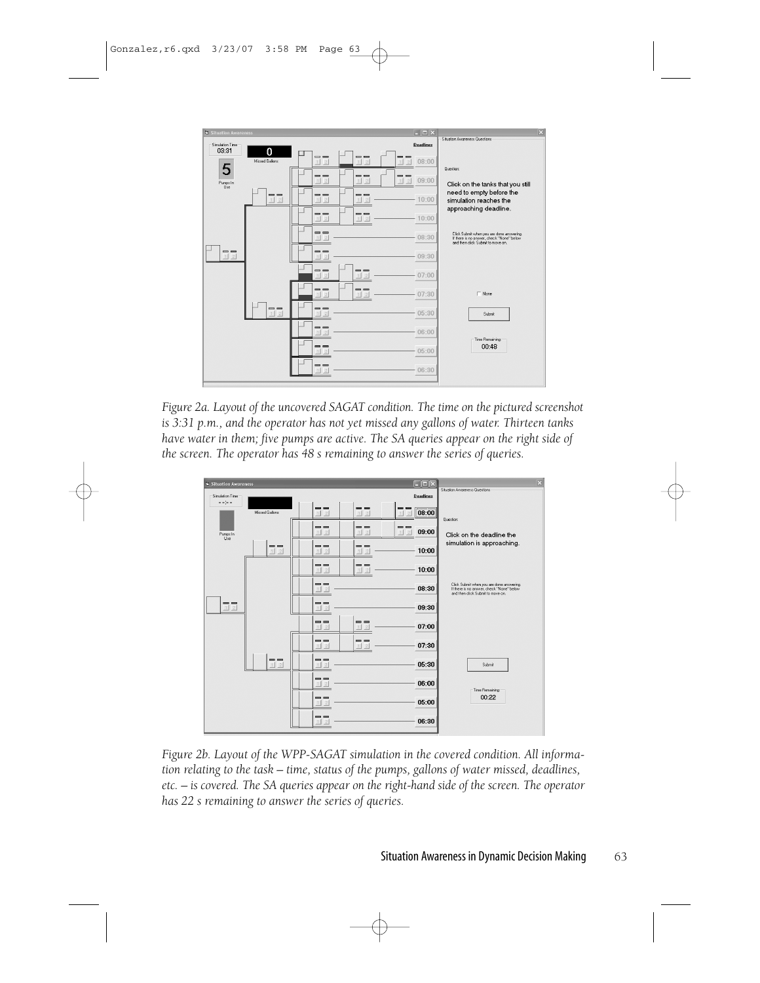| <b>Situation Awareness</b> |                            |                                     |                            | $\blacksquare$ $\blacksquare$ $\times$                      | $\vert x \vert$                                                                                                             |
|----------------------------|----------------------------|-------------------------------------|----------------------------|-------------------------------------------------------------|-----------------------------------------------------------------------------------------------------------------------------|
| Simulation Time            |                            |                                     |                            | <b>Deadlines</b>                                            | Situation Awareness Questions                                                                                               |
| 03:31                      | 0<br>Missed Gallons        | $=$<br>12                           | $=$<br>12                  | --<br>08:00<br> 2 <br>1                                     | Question:                                                                                                                   |
| 5<br>Pumps In<br>Use       |                            | $= -$<br>12                         | --<br>12                   | $\overline{ }$<br>-<br>09:00<br>2 <sup>1</sup><br>$\vert$ 1 | Click on the tanks that you still                                                                                           |
|                            | $=$<br> 2 <br>$\mathbf{1}$ | $= -$<br>$1 \vert 2$                | $=$ $-$<br>$\sqrt{2}$<br>1 | 10:00                                                       | need to empty before the<br>simulation reaches the                                                                          |
|                            |                            | --<br>$1$   2                       | --                         | 10:00                                                       | approaching deadline.                                                                                                       |
|                            |                            | $=$<br>$\frac{2}{2}$<br>11          |                            | 08:30                                                       | Click Submit when you are done answering.<br>If there is no answer, check "None" below<br>and then click Submit to move on. |
| $=$<br>12                  |                            | --<br>$\frac{2}{2}$<br>$\mathbf{1}$ |                            | 09:30                                                       |                                                                                                                             |
|                            |                            | $=$<br>1 2                          | $=$ $-$<br>$1 \vert 2$     | 07:00                                                       |                                                                                                                             |
|                            |                            | $= -$<br>$\overline{2}$<br>11       | --<br>$\vert$ 1            | 07:30                                                       | $\Gamma$ None                                                                                                               |
|                            | $= -$<br> 2 <br>11         | $= -$<br>2                          |                            | 05:30                                                       | Submit                                                                                                                      |
|                            |                            | $= -$<br>$\overline{2}$<br>11       |                            | 06:00                                                       | Time Remaining:                                                                                                             |
|                            |                            | --<br>$\overline{2}$<br>  1         |                            | 05:00                                                       | 00:48                                                                                                                       |
|                            |                            | --                                  |                            | 06:30                                                       |                                                                                                                             |

Figure 2a. Layout of the uncovered SAGAT condition. The time on the pictured screenshot is 3:31 p.m., and the operator has not yet missed any gallons of water. Thirteen tanks have water in them; five pumps are active. The SA queries appear on the right side of the screen. The operator has 48 s remaining to answer the series of queries.



Figure 2b. Layout of the WPP-SAGAT simulation in the covered condition. All information relating to the task - time, status of the pumps, gallons of water missed, deadlines, etc. – is covered. The SA queries appear on the right-hand side of the screen. The operator has 22 s remaining to answer the series of queries.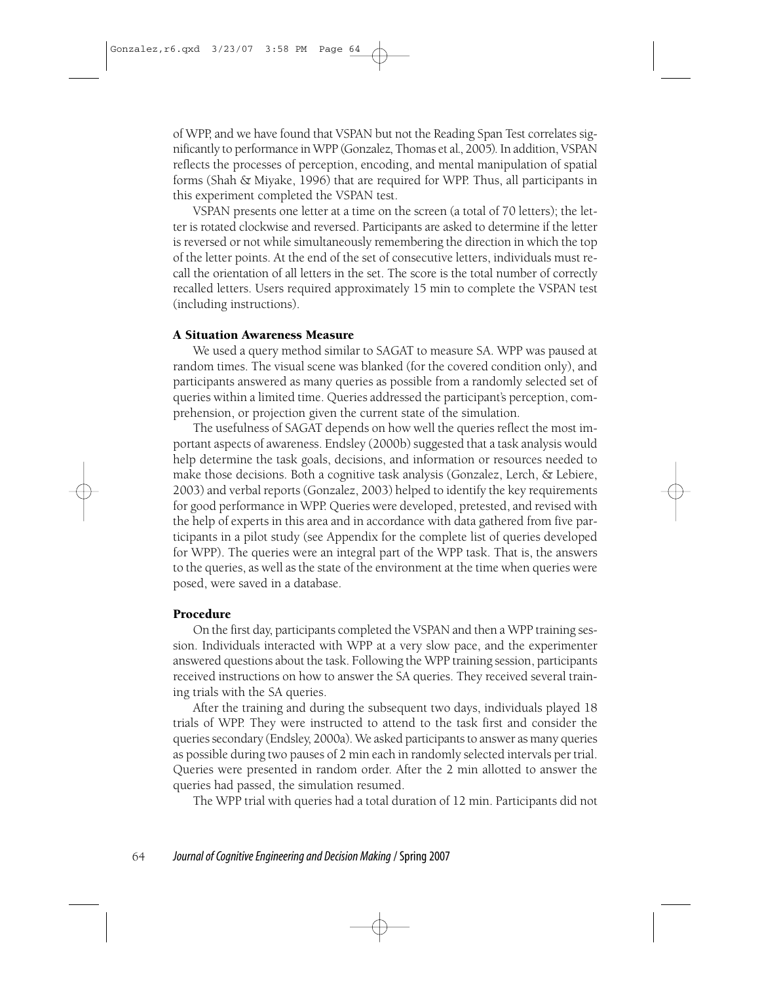of WPP, and we have found that VSPAN but not the Reading Span Test correlates significantly to performance in WPP (Gonzalez, Thomas et al., 2005). In addition, VSPAN reflects the processes of perception, encoding, and mental manipulation of spatial forms (Shah & Miyake, 1996) that are required for WPP. Thus, all participants in this experiment completed the VSPAN test.

VSPAN presents one letter at a time on the screen (a total of 70 letters); the letter is rotated clockwise and reversed. Participants are asked to determine if the letter is reversed or not while simultaneously remembering the direction in which the top of the letter points. At the end of the set of consecutive letters, individuals must recall the orientation of all letters in the set. The score is the total number of correctly recalled letters. Users required approximately 15 min to complete the VSPAN test (including instructions).

#### **A Situation Awareness Measure**

We used a query method similar to SAGAT to measure SA. WPP was paused at random times. The visual scene was blanked (for the covered condition only), and participants answered as many queries as possible from a randomly selected set of queries within a limited time. Queries addressed the participant's perception, comprehension, or projection given the current state of the simulation.

The usefulness of SAGAT depends on how well the queries reflect the most important aspects of awareness. Endsley (2000b) suggested that a task analysis would help determine the task goals, decisions, and information or resources needed to make those decisions. Both a cognitive task analysis (Gonzalez, Lerch, & Lebiere, 2003) and verbal reports (Gonzalez, 2003) helped to identify the key requirements for good performance in WPP. Queries were developed, pretested, and revised with the help of experts in this area and in accordance with data gathered from five participants in a pilot study (see Appendix for the complete list of queries developed for WPP). The queries were an integral part of the WPP task. That is, the answers to the queries, as well as the state of the environment at the time when queries were posed, were saved in a database.

#### Procedure

On the first day, participants completed the VSPAN and then a WPP training session. Individuals interacted with WPP at a very slow pace, and the experimenter answered questions about the task. Following the WPP training session, participants received instructions on how to answer the SA queries. They received several training trials with the SA queries.

After the training and during the subsequent two days, individuals played 18 trials of WPP. They were instructed to attend to the task first and consider the queries secondary (Endsley, 2000a). We asked participants to answer as many queries as possible during two pauses of 2 min each in randomly selected intervals per trial. Queries were presented in random order. After the 2 min allotted to answer the queries had passed, the simulation resumed.

The WPP trial with queries had a total duration of 12 min. Participants did not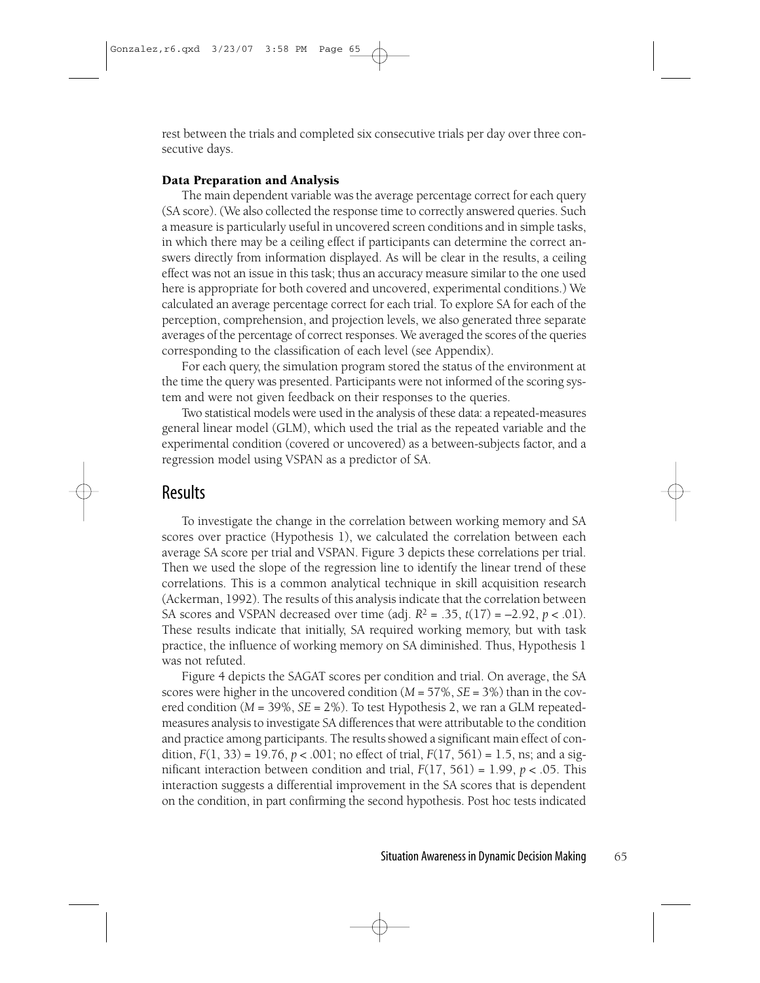rest between the trials and completed six consecutive trials per day over three consecutive days.

#### **Data Preparation and Analysis**

The main dependent variable was the average percentage correct for each query (SA score). (We also collected the response time to correctly answered queries. Such a measure is particularly useful in uncovered screen conditions and in simple tasks, in which there may be a ceiling effect if participants can determine the correct answers directly from information displayed. As will be clear in the results, a ceiling effect was not an issue in this task; thus an accuracy measure similar to the one used here is appropriate for both covered and uncovered, experimental conditions.) We calculated an average percentage correct for each trial. To explore SA for each of the perception, comprehension, and projection levels, we also generated three separate averages of the percentage of correct responses. We averaged the scores of the queries corresponding to the classification of each level (see Appendix).

For each query, the simulation program stored the status of the environment at the time the query was presented. Participants were not informed of the scoring system and were not given feedback on their responses to the queries.

Two statistical models were used in the analysis of these data: a repeated-measures general linear model (GLM), which used the trial as the repeated variable and the experimental condition (covered or uncovered) as a between-subjects factor, and a regression model using VSPAN as a predictor of SA.

### **Results**

To investigate the change in the correlation between working memory and SA scores over practice (Hypothesis 1), we calculated the correlation between each average SA score per trial and VSPAN. Figure 3 depicts these correlations per trial. Then we used the slope of the regression line to identify the linear trend of these correlations. This is a common analytical technique in skill acquisition research (Ackerman, 1992). The results of this analysis indicate that the correlation between SA scores and VSPAN decreased over time (adj.  $R^2 = .35$ ,  $t(17) = -2.92$ ,  $p < .01$ ). These results indicate that initially, SA required working memory, but with task practice, the influence of working memory on SA diminished. Thus, Hypothesis 1 was not refuted.

Figure 4 depicts the SAGAT scores per condition and trial. On average, the SA scores were higher in the uncovered condition ( $M = 57\%$ ,  $SE = 3\%$ ) than in the covered condition ( $M = 39\%$ ,  $SE = 2\%$ ). To test Hypothesis 2, we ran a GLM repeatedmeasures analysis to investigate SA differences that were attributable to the condition and practice among participants. The results showed a significant main effect of condition,  $F(1, 33) = 19.76$ ,  $p < .001$ ; no effect of trial,  $F(17, 561) = 1.5$ , ns; and a significant interaction between condition and trial,  $F(17, 561) = 1.99$ ,  $p < .05$ . This interaction suggests a differential improvement in the SA scores that is dependent on the condition, in part confirming the second hypothesis. Post hoc tests indicated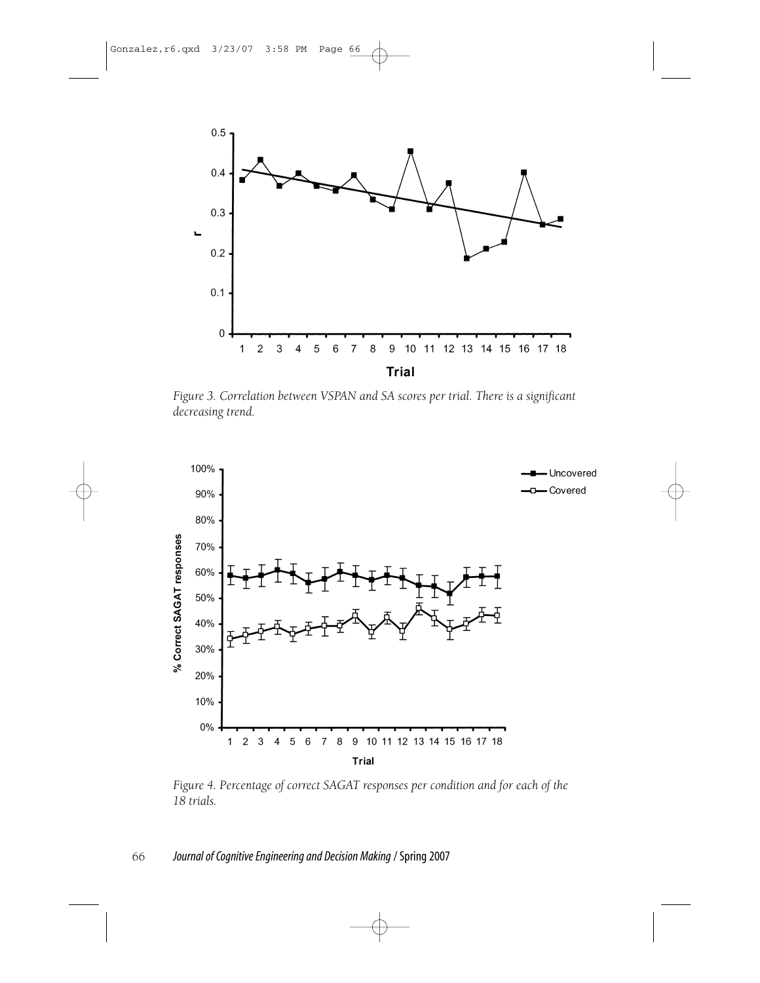

Figure 3. Correlation between VSPAN and SA scores per trial. There is a significant decreasing trend.



Figure 4. Percentage of correct SAGAT responses per condition and for each of the 18 trials.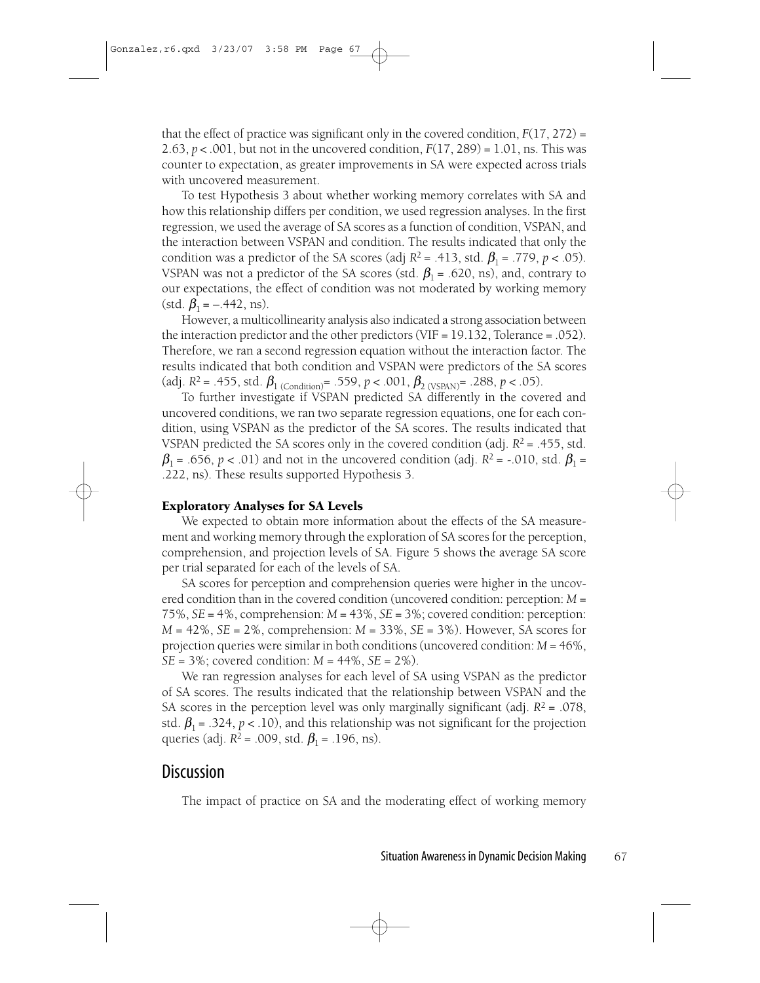that the effect of practice was significant only in the covered condition,  $F(17, 272) =$ 2.63,  $p < .001$ , but not in the uncovered condition,  $F(17, 289) = 1.01$ , ns. This was counter to expectation, as greater improvements in SA were expected across trials with uncovered measurement.

To test Hypothesis 3 about whether working memory correlates with SA and how this relationship differs per condition, we used regression analyses. In the first regression, we used the average of SA scores as a function of condition, VSPAN, and the interaction between VSPAN and condition. The results indicated that only the condition was a predictor of the SA scores (adj  $R^2 = .413$ , std.  $\beta_1 = .779$ ,  $p < .05$ ). VSPAN was not a predictor of the SA scores (std.  $\beta_1$  = .620, ns), and, contrary to our expectations, the effect of condition was not moderated by working memory (std.  $\beta_1 = -.442$ , ns).

However, a multicollinearity analysis also indicated a strong association between the interaction predictor and the other predictors (VIF =  $19.132$ , Tolerance = .052). Therefore, we ran a second regression equation without the interaction factor. The results indicated that both condition and VSPAN were predictors of the SA scores (adj.  $R^2$  = .455, std.  $\beta_1$  (Condition)<sup>=</sup> .559,  $p < .001$ ,  $\beta_2$  (VSPAN)<sup>=</sup> .288,  $p < .05$ ).

To further investigate if VSPAN predicted SA differently in the covered and uncovered conditions, we ran two separate regression equations, one for each condition, using VSPAN as the predictor of the SA scores. The results indicated that VSPAN predicted the SA scores only in the covered condition (adj.  $R^2$  = .455, std.  $\beta_1$  = .656, p < .01) and not in the uncovered condition (adj. R<sup>2</sup> = -.010, std.  $\beta_1$  = .222, ns). These results supported Hypothesis 3.

#### **Exploratory Analyses for SA Levels**

We expected to obtain more information about the effects of the SA measurement and working memory through the exploration of SA scores for the perception, comprehension, and projection levels of SA. Figure 5 shows the average SA score per trial separated for each of the levels of SA.

SA scores for perception and comprehension queries were higher in the uncovered condition than in the covered condition (uncovered condition: perception:  $M =$ 75%,  $SE = 4\%$ , comprehension:  $M = 43\%$ ,  $SE = 3\%$ ; covered condition: perception:  $M = 42\%$ ,  $SE = 2\%$ , comprehension:  $M = 33\%$ ,  $SE = 3\%$ ). However, SA scores for projection queries were similar in both conditions (uncovered condition:  $M = 46\%$ ,  $SE = 3\%$ ; covered condition:  $M = 44\%, SE = 2\%$ .

We ran regression analyses for each level of SA using VSPAN as the predictor of SA scores. The results indicated that the relationship between VSPAN and the SA scores in the perception level was only marginally significant (adj.  $R^2 = .078$ , std.  $\beta_1$  = .324, p < .10), and this relationship was not significant for the projection queries (adj.  $R^2$  = .009, std.  $\beta_1$  = .196, ns).

### **Discussion**

The impact of practice on SA and the moderating effect of working memory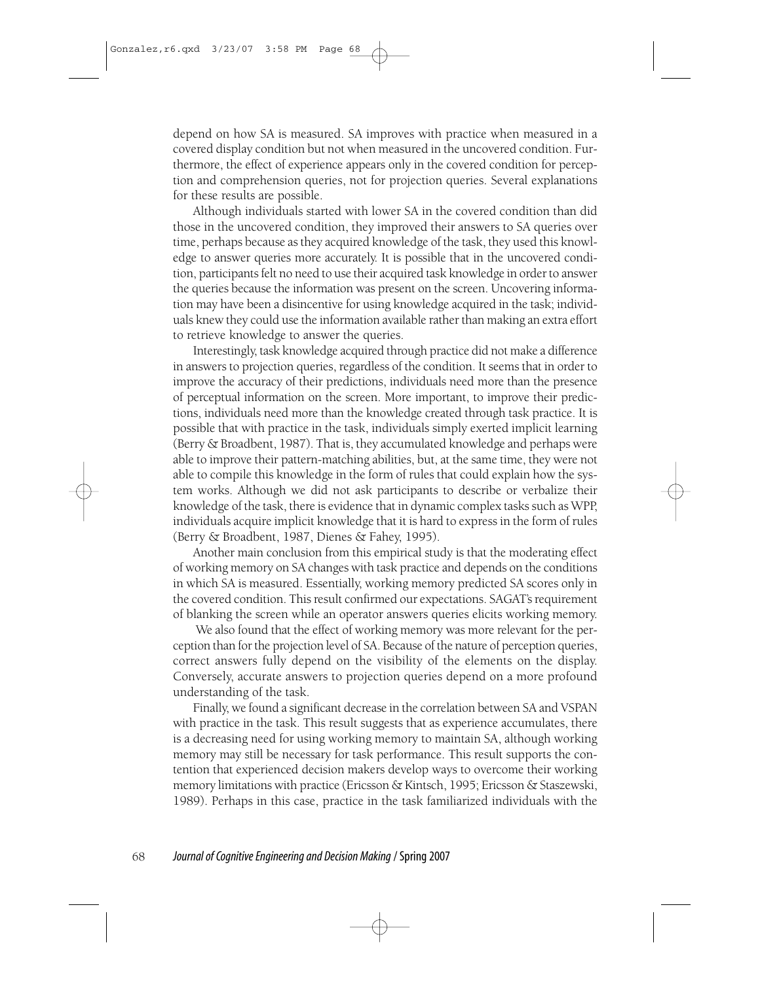depend on how SA is measured. SA improves with practice when measured in a covered display condition but not when measured in the uncovered condition. Furthermore, the effect of experience appears only in the covered condition for perception and comprehension queries, not for projection queries. Several explanations for these results are possible.

Although individuals started with lower SA in the covered condition than did those in the uncovered condition, they improved their answers to SA queries over time, perhaps because as they acquired knowledge of the task, they used this knowledge to answer queries more accurately. It is possible that in the uncovered condition, participants felt no need to use their acquired task knowledge in order to answer the queries because the information was present on the screen. Uncovering information may have been a disincentive for using knowledge acquired in the task; individuals knew they could use the information available rather than making an extra effort to retrieve knowledge to answer the queries.

Interestingly, task knowledge acquired through practice did not make a difference in answers to projection queries, regardless of the condition. It seems that in order to improve the accuracy of their predictions, individuals need more than the presence of perceptual information on the screen. More important, to improve their predictions, individuals need more than the knowledge created through task practice. It is possible that with practice in the task, individuals simply exerted implicit learning (Berry & Broadbent, 1987). That is, they accumulated knowledge and perhaps were able to improve their pattern-matching abilities, but, at the same time, they were not able to compile this knowledge in the form of rules that could explain how the system works. Although we did not ask participants to describe or verbalize their knowledge of the task, there is evidence that in dynamic complex tasks such as WPP, individuals acquire implicit knowledge that it is hard to express in the form of rules (Berry & Broadbent, 1987, Dienes & Fahey, 1995).

Another main conclusion from this empirical study is that the moderating effect of working memory on SA changes with task practice and depends on the conditions in which SA is measured. Essentially, working memory predicted SA scores only in the covered condition. This result confirmed our expectations. SAGAT's requirement of blanking the screen while an operator answers queries elicits working memory.

We also found that the effect of working memory was more relevant for the perception than for the projection level of SA. Because of the nature of perception queries, correct answers fully depend on the visibility of the elements on the display. Conversely, accurate answers to projection queries depend on a more profound understanding of the task.

Finally, we found a significant decrease in the correlation between SA and VSPAN with practice in the task. This result suggests that as experience accumulates, there is a decreasing need for using working memory to maintain SA, although working memory may still be necessary for task performance. This result supports the contention that experienced decision makers develop ways to overcome their working memory limitations with practice (Ericsson & Kintsch, 1995; Ericsson & Staszewski, 1989). Perhaps in this case, practice in the task familiarized individuals with the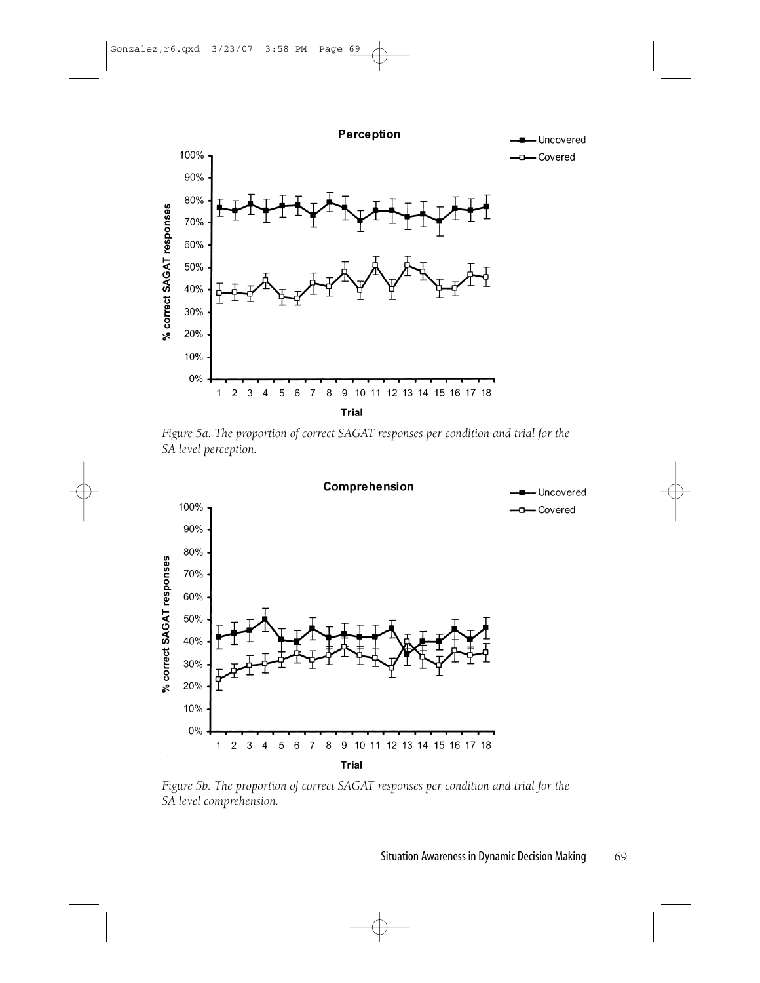



Figure 5a. The proportion of correct SAGAT responses per condition and trial for the SA level perception.



Figure 5b. The proportion of correct SAGAT responses per condition and trial for the SA level comprehension.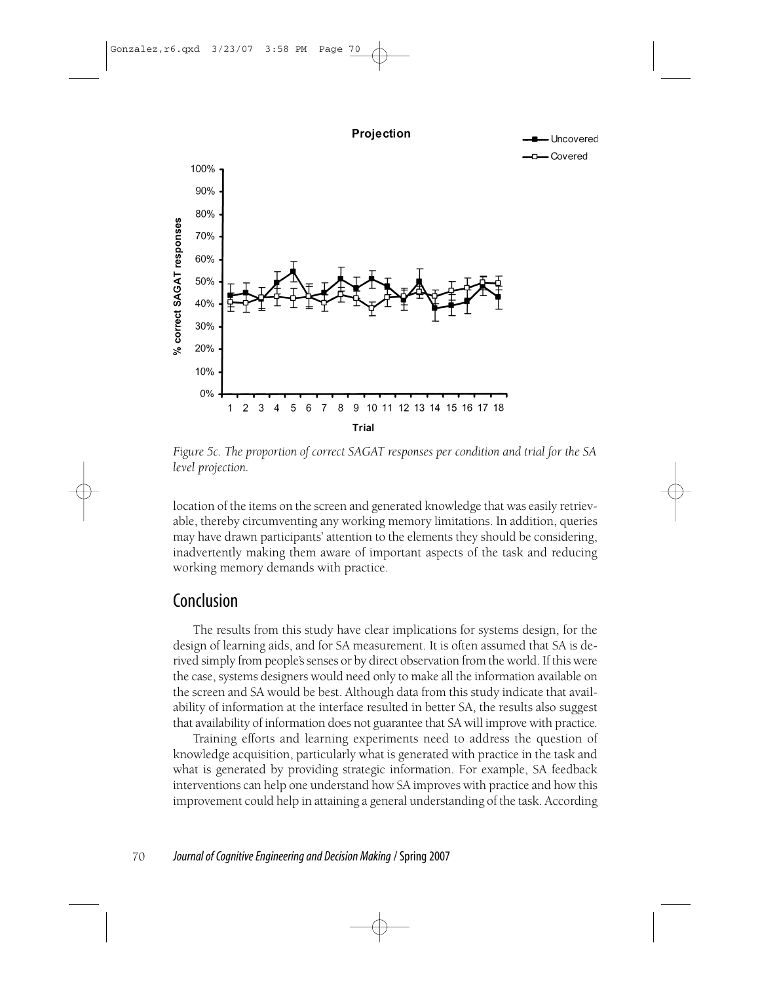

Figure 5c. The proportion of correct SAGAT responses per condition and trial for the SA level projection.

location of the items on the screen and generated knowledge that was easily retrievable, thereby circumventing any working memory limitations. In addition, queries may have drawn participants' attention to the elements they should be considering, inadvertently making them aware of important aspects of the task and reducing working memory demands with practice.

# Conclusion

The results from this study have clear implications for systems design, for the design of learning aids, and for SA measurement. It is often assumed that SA is derived simply from people's senses or by direct observation from the world. If this were the case, systems designers would need only to make all the information available on the screen and SA would be best. Although data from this study indicate that availability of information at the interface resulted in better SA, the results also suggest that availability of information does not guarantee that SA will improve with practice.

Training efforts and learning experiments need to address the question of knowledge acquisition, particularly what is generated with practice in the task and what is generated by providing strategic information. For example, SA feedback interventions can help one understand how SA improves with practice and how this improvement could help in attaining a general understanding of the task. According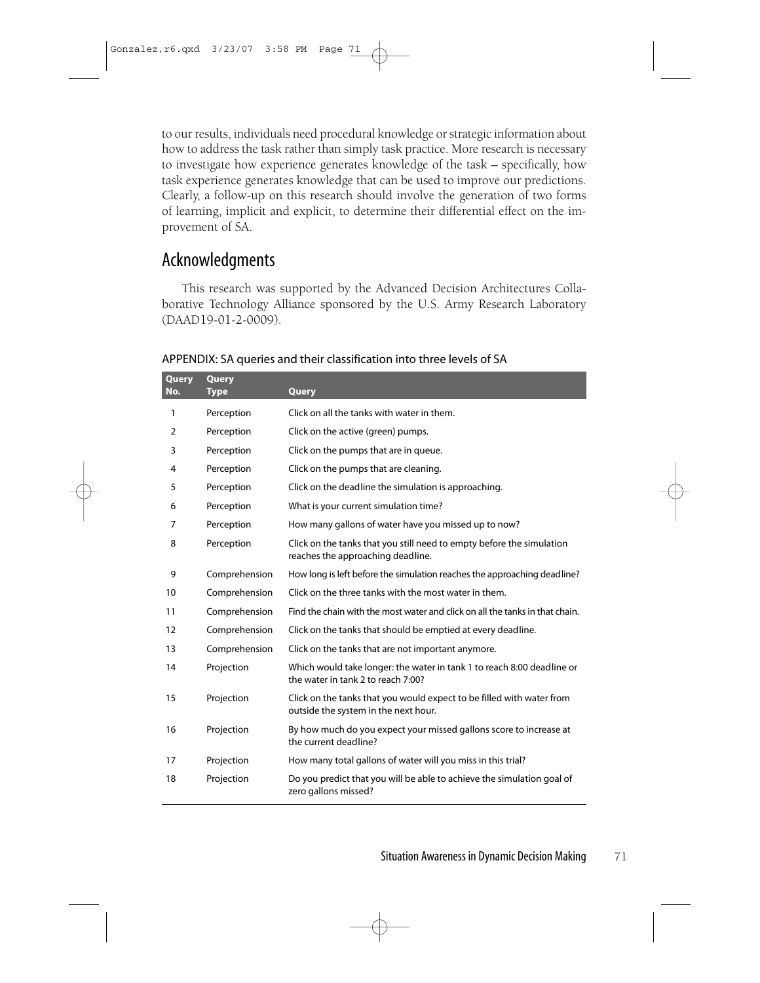to our results, individuals need procedural knowledge or strategic information about how to address the task rather than simply task practice. More research is necessary to investigate how experience generates knowledge of the task – specifically, how task experience generates knowledge that can be used to improve our predictions. Clearly, a follow-up on this research should involve the generation of two forms of learning, implicit and explicit, to determine their differential effect on the improvement of SA.

# Acknowledgments

This research was supported by the Advanced Decision Architectures Collaborative Technology Alliance sponsored by the U.S. Army Research Laboratory (DAAD19-01-2-0009).

| Query<br>No.   | Query<br><b>Type</b> | Query                                                                                                         |  |
|----------------|----------------------|---------------------------------------------------------------------------------------------------------------|--|
| 1              | Perception           | Click on all the tanks with water in them.                                                                    |  |
| 2              | Perception           | Click on the active (green) pumps.                                                                            |  |
| 3              | Perception           | Click on the pumps that are in queue.                                                                         |  |
| 4              | Perception           | Click on the pumps that are cleaning.                                                                         |  |
| 5              | Perception           | Click on the deadline the simulation is approaching.                                                          |  |
| 6              | Perception           | What is your current simulation time?                                                                         |  |
| $\overline{7}$ | Perception           | How many gallons of water have you missed up to now?                                                          |  |
| 8              | Perception           | Click on the tanks that you still need to empty before the simulation<br>reaches the approaching deadline.    |  |
| 9              | Comprehension        | How long is left before the simulation reaches the approaching deadline?                                      |  |
| 10             | Comprehension        | Click on the three tanks with the most water in them.                                                         |  |
| 11             | Comprehension        | Find the chain with the most water and click on all the tanks in that chain.                                  |  |
| 12             | Comprehension        | Click on the tanks that should be emptied at every deadline.                                                  |  |
| 13             | Comprehension        | Click on the tanks that are not important anymore.                                                            |  |
| 14             | Projection           | Which would take longer: the water in tank 1 to reach 8:00 deadline or<br>the water in tank 2 to reach 7:00?  |  |
| 15             | Projection           | Click on the tanks that you would expect to be filled with water from<br>outside the system in the next hour. |  |
| 16             | Projection           | By how much do you expect your missed gallons score to increase at<br>the current deadline?                   |  |
| 17             | Projection           | How many total gallons of water will you miss in this trial?                                                  |  |
| 18             | Projection           | Do you predict that you will be able to achieve the simulation goal of<br>zero gallons missed?                |  |

#### APPENDIX: SA queries and their classification into three levels of SA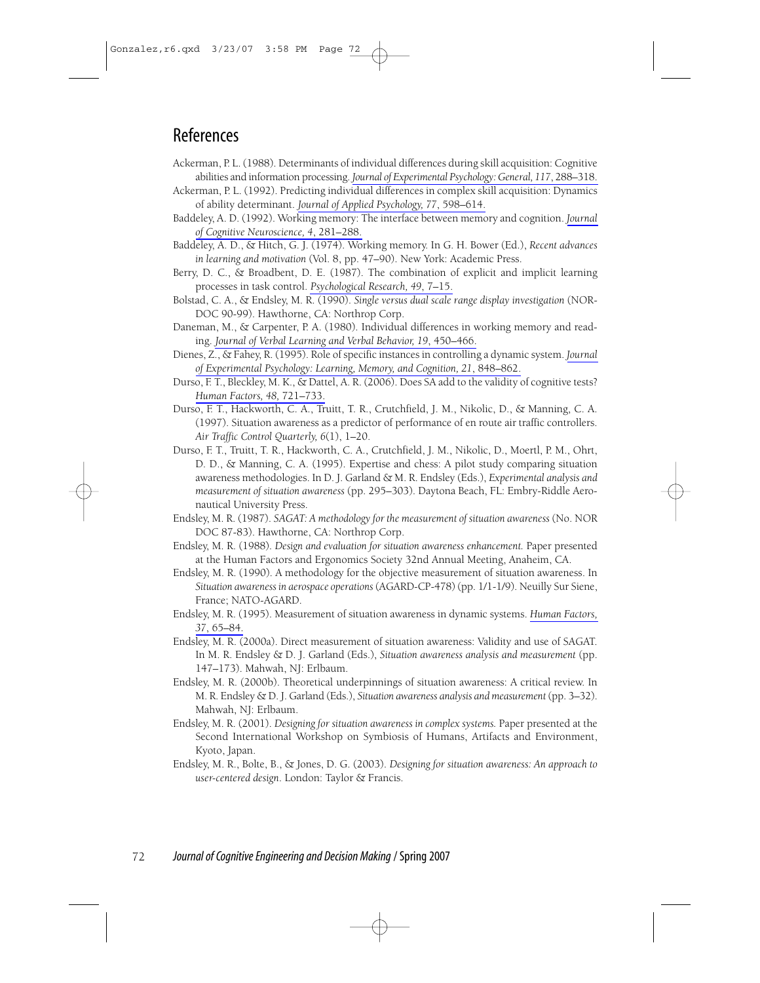# References

- Ackerman, P. L. (1988). Determinants of individual differences during skill acquisition: Cognitive abilities and information processing. Journal of Experimental Psychology: General, 117, 288-318.
- Ackerman, P. L. (1992). Predicting individual differences in complex skill acquisition: Dynamics of ability determinant. Journal of Applied Psychology, 77, 598–614.
- Baddeley, A. D. (1992). Working memory: The interface between memory and cognition. Journal of Cognitive Neuroscience, 4, 281-288.
- Baddeley, A. D., & Hitch, G. J. (1974). Working memory. In G. H. Bower (Ed.), Recent advances in learning and motivation (Vol. 8, pp. 47-90). New York: Academic Press.
- Berry, D. C., & Broadbent, D. E. (1987). The combination of explicit and implicit learning processes in task control. Psychological Research, 49, 7-15.
- Bolstad, C. A., & Endsley, M. R. (1990). Single versus dual scale range display investigation (NOR-DOC 90-99). Hawthorne, CA: Northrop Corp.
- Daneman, M., & Carpenter, P. A. (1980). Individual differences in working memory and reading. Journal of Verbal Learning and Verbal Behavior, 19, 450–466.
- Dienes, Z., & Fahey, R. (1995). Role of specific instances in controlling a dynamic system. Journal of Experimental Psychology: Learning, Memory, and Cognition, 21, 848-862.
- Durso, F. T., Bleckley, M. K., & Dattel, A. R. (2006). Does SA add to the validity of cognitive tests? Human Factors, 48, 721-733.
- Durso, F. T., Hackworth, C. A., Truitt, T. R., Crutchfield, J. M., Nikolic, D., & Manning, C. A. (1997). Situation awareness as a predictor of performance of en route air traffic controllers. Air Traffic Control Quarterly, 6(1), 1-20.
- Durso, F. T., Truitt, T. R., Hackworth, C. A., Crutchfield, J. M., Nikolic, D., Moertl, P. M., Ohrt, D. D., & Manning, C. A. (1995). Expertise and chess: A pilot study comparing situation awareness methodologies. In D. J. Garland & M. R. Endsley (Eds.), Experimental analysis and measurement of situation awareness (pp. 295-303). Daytona Beach, FL: Embry-Riddle Aeronautical University Press.
- Endsley, M. R. (1987). SAGAT: A methodology for the measurement of situation awareness (No. NOR DOC 87-83). Hawthorne, CA: Northrop Corp.
- Endsley, M. R. (1988). Design and evaluation for situation awareness enhancement. Paper presented at the Human Factors and Ergonomics Society 32nd Annual Meeting, Anaheim, CA.
- Endsley, M. R. (1990). A methodology for the objective measurement of situation awareness. In Situation awareness in aerospace operations (AGARD-CP-478) (pp. 1/1-1/9). Neuilly Sur Siene, France; NATO-AGARD.
- Endsley, M. R. (1995). Measurement of situation awareness in dynamic systems. Human Factors, 37, 65-84.
- Endsley, M. R. (2000a). Direct measurement of situation awareness: Validity and use of SAGAT. In M. R. Endsley & D. J. Garland (Eds.), Situation awareness analysis and measurement (pp. 147-173). Mahwah, NJ: Erlbaum.
- Endsley, M. R. (2000b). Theoretical underpinnings of situation awareness: A critical review. In M. R. Endsley & D. J. Garland (Eds.), Situation awareness analysis and measurement (pp. 3-32). Mahwah, NJ: Erlbaum.
- Endsley, M. R. (2001). Designing for situation awareness in complex systems. Paper presented at the Second International Workshop on Symbiosis of Humans, Artifacts and Environment, Kyoto, Japan.
- Endsley, M. R., Bolte, B., & Jones, D. G. (2003). Designing for situation awareness: An approach to user-centered design. London: Taylor & Francis.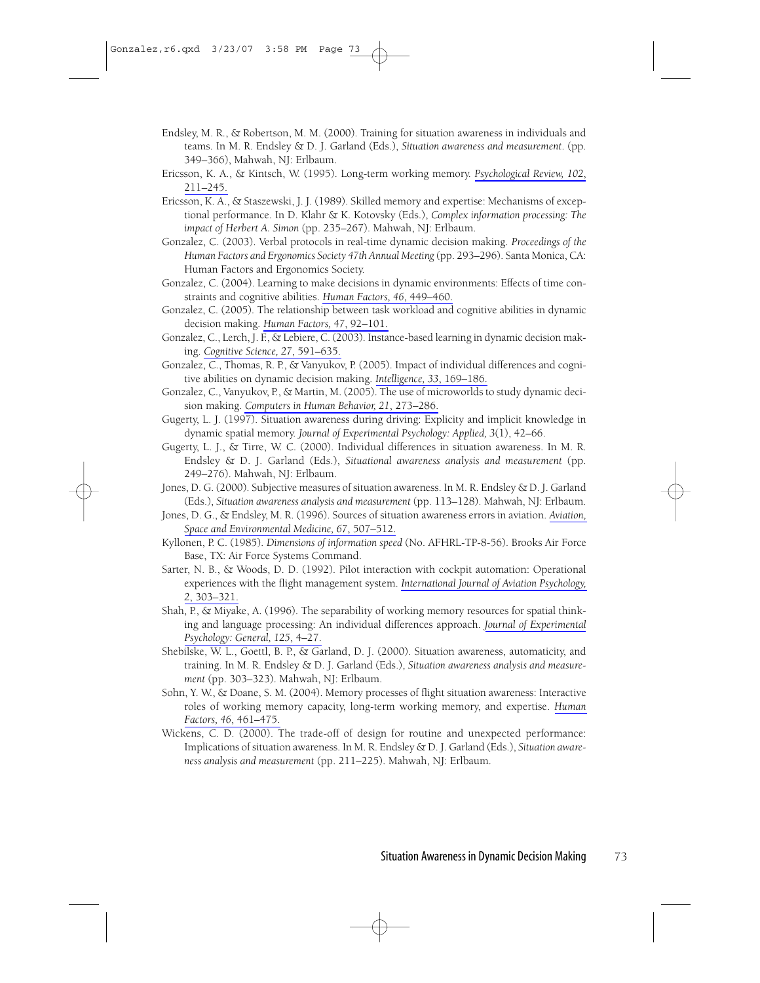- Endsley, M. R., & Robertson, M. M. (2000). Training for situation awareness in individuals and teams. In M. R. Endsley & D. J. Garland (Eds.), Situation awareness and measurement. (pp. 349-366), Mahwah, NJ: Erlbaum.
- Ericsson, K. A., & Kintsch, W. (1995). Long-term working memory. Psychological Review, 102,  $211 - 245.$
- Ericsson, K. A., & Staszewski, J. J. (1989). Skilled memory and expertise: Mechanisms of exceptional performance. In D. Klahr & K. Kotovsky (Eds.), Complex information processing: The impact of Herbert A. Simon (pp. 235-267). Mahwah, NJ: Erlbaum.
- Gonzalez, C. (2003). Verbal protocols in real-time dynamic decision making. Proceedings of the Human Factors and Ergonomics Society 47th Annual Meeting (pp. 293-296). Santa Monica, CA: Human Factors and Ergonomics Society.
- Gonzalez, C. (2004). Learning to make decisions in dynamic environments: Effects of time constraints and cognitive abilities. Human Factors, 46, 449-460.
- Gonzalez, C. (2005). The relationship between task workload and cognitive abilities in dynamic decision making. Human Factors, 47, 92-101.
- Gonzalez, C., Lerch, J. F., & Lebiere, C. (2003). Instance-based learning in dynamic decision making. Cognitive Science, 27, 591-635.
- Gonzalez, C., Thomas, R. P., & Vanyukov, P. (2005). Impact of individual differences and cognitive abilities on dynamic decision making. Intelligence, 33, 169-186.
- Gonzalez, C., Vanyukov, P., & Martin, M. (2005). The use of microworlds to study dynamic decision making. Computers in Human Behavior, 21, 273-286.
- Gugerty, L. J. (1997). Situation awareness during driving: Explicity and implicit knowledge in dynamic spatial memory. Journal of Experimental Psychology: Applied, 3(1), 42–66.
- Gugerty, L. J., & Tirre, W. C. (2000). Individual differences in situation awareness. In M. R. Endsley  $\&$  D. J. Garland (Eds.), Situational awareness analysis and measurement (pp. 249-276). Mahwah, NJ: Erlbaum.
- Jones, D. G. (2000). Subjective measures of situation awareness. In M. R. Endsley & D. J. Garland (Eds.), Situation awareness analysis and measurement (pp. 113-128). Mahwah, NJ: Erlbaum.
- Jones, D. G., & Endsley, M. R. (1996). Sources of situation awareness errors in aviation. Aviation, Space and Environmental Medicine, 67, 507-512.
- Kyllonen, P. C. (1985). Dimensions of information speed (No. AFHRL-TP-8-56). Brooks Air Force Base, TX: Air Force Systems Command.
- Sarter, N. B., & Woods, D. D. (1992). Pilot interaction with cockpit automation: Operational experiences with the flight management system. International Journal of Aviation Psychology, 2, 303-321.
- Shah, P., & Miyake, A. (1996). The separability of working memory resources for spatial thinking and language processing: An individual differences approach. Journal of Experimental Psychology: General, 125, 4-27.
- Shebilske, W. L., Goettl, B. P., & Garland, D. J. (2000). Situation awareness, automaticity, and training. In M. R. Endsley & D. J. Garland (Eds.), Situation awareness analysis and measurement (pp. 303-323). Mahwah, NJ: Erlbaum.
- Sohn, Y. W., & Doane, S. M. (2004). Memory processes of flight situation awareness: Interactive roles of working memory capacity, long-term working memory, and expertise. Human Factors, 46, 461-475.
- Wickens, C. D. (2000). The trade-off of design for routine and unexpected performance: Implications of situation awareness. In M. R. Endsley & D. J. Garland (Eds.), Situation awareness analysis and measurement (pp. 211-225). Mahwah, NJ: Erlbaum.